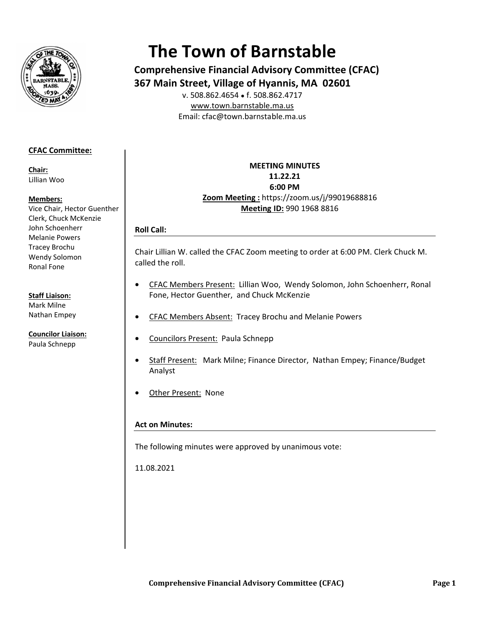

# **The Town of Barnstable**

**Comprehensive Financial Advisory Committee (CFAC)** 367 Main Street, Village of Hyannis, MA 02601 v. 508.862.4654 • f. 508.862.4717

www.town.barnstable.ma.us Email: cfac@town.barnstable.ma.us

# **CFAC Committee:**

Chair: Lillian Woo

## Members:

Vice Chair, Hector Guenther Clerk, Chuck McKenzie John Schoenherr **Melanie Powers Tracey Brochu** Wendy Solomon Ronal Fone

## **Staff Liaison:**

Mark Milne Nathan Empey

**Councilor Liaison:** Paula Schnepp

# **MEETING MINUTES** 11.22.21 6:00 PM Zoom Meeting: https://zoom.us/j/99019688816 Meeting ID: 990 1968 8816

# **Roll Call:**

Chair Lillian W. called the CFAC Zoom meeting to order at 6:00 PM. Clerk Chuck M. called the roll.

- CFAC Members Present: Lillian Woo, Wendy Solomon, John Schoenherr, Ronal  $\bullet$ Fone, Hector Guenther, and Chuck McKenzie
- CFAC Members Absent: Tracey Brochu and Melanie Powers
- **Councilors Present: Paula Schnepp**  $\bullet$
- Staff Present: Mark Milne; Finance Director, Nathan Empey; Finance/Budget Analyst
- Other Present: None

# **Act on Minutes:**

The following minutes were approved by unanimous vote:

11.08.2021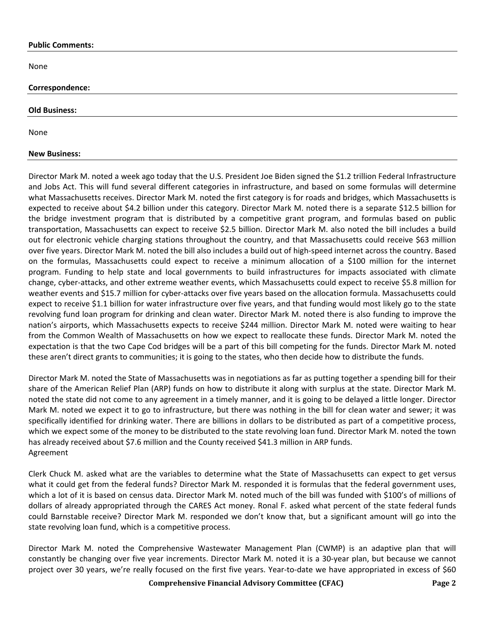#### **Public Comments:**

None

## **Correspondence:**

#### **Old Business:**

None

## **New Business:**

Director Mark M. noted a week ago today that the U.S. President Joe Biden signed the \$1.2 trillion Federal Infrastructure and Jobs Act. This will fund several different categories in infrastructure, and based on some formulas will determine what Massachusetts receives. Director Mark M. noted the first category is for roads and bridges, which Massachusetts is expected to receive about \$4.2 billion under this category. Director Mark M. noted there is a separate \$12.5 billion for the bridge investment program that is distributed by a competitive grant program, and formulas based on public transportation, Massachusetts can expect to receive \$2.5 billion. Director Mark M. also noted the bill includes a build out for electronic vehicle charging stations throughout the country, and that Massachusetts could receive \$63 million over five years. Director Mark M. noted the bill also includes a build out of high-speed internet across the country. Based on the formulas, Massachusetts could expect to receive a minimum allocation of a \$100 million for the internet program. Funding to help state and local governments to build infrastructures for impacts associated with climate change, cyber-attacks, and other extreme weather events, which Massachusetts could expect to receive \$5.8 million for weather events and \$15.7 million for cyber-attacks over five years based on the allocation formula. Massachusetts could expect to receive \$1.1 billion for water infrastructure over five years, and that funding would most likely go to the state revolving fund loan program for drinking and clean water. Director Mark M. noted there is also funding to improve the nation's airports, which Massachusetts expects to receive \$244 million. Director Mark M. noted were waiting to hear from the Common Wealth of Massachusetts on how we expect to reallocate these funds. Director Mark M. noted the expectation is that the two Cape Cod bridges will be a part of this bill competing for the funds. Director Mark M. noted these aren't direct grants to communities; it is going to the states, who then decide how to distribute the funds.

Director Mark M. noted the State of Massachusetts was in negotiations as far as putting together a spending bill for their share of the American Relief Plan (ARP) funds on how to distribute it along with surplus at the state. Director Mark M. noted the state did not come to any agreement in a timely manner, and it is going to be delayed a little longer. Director Mark M. noted we expect it to go to infrastructure, but there was nothing in the bill for clean water and sewer; it was specifically identified for drinking water. There are billions in dollars to be distributed as part of a competitive process, which we expect some of the money to be distributed to the state revolving loan fund. Director Mark M. noted the town has already received about \$7.6 million and the County received \$41.3 million in ARP funds. Agreement

Clerk Chuck M. asked what are the variables to determine what the State of Massachusetts can expect to get versus what it could get from the federal funds? Director Mark M. responded it is formulas that the federal government uses, which a lot of it is based on census data. Director Mark M. noted much of the bill was funded with \$100's of millions of dollars of already appropriated through the CARES Act money. Ronal F. asked what percent of the state federal funds could Barnstable receive? Director Mark M. responded we don't know that, but a significant amount will go into the state revolving loan fund, which is a competitive process.

Director Mark M. noted the Comprehensive Wastewater Management Plan (CWMP) is an adaptive plan that will constantly be changing over five year increments. Director Mark M. noted it is a 30-year plan, but because we cannot project over 30 years, we're really focused on the first five years. Year-to-date we have appropriated in excess of \$60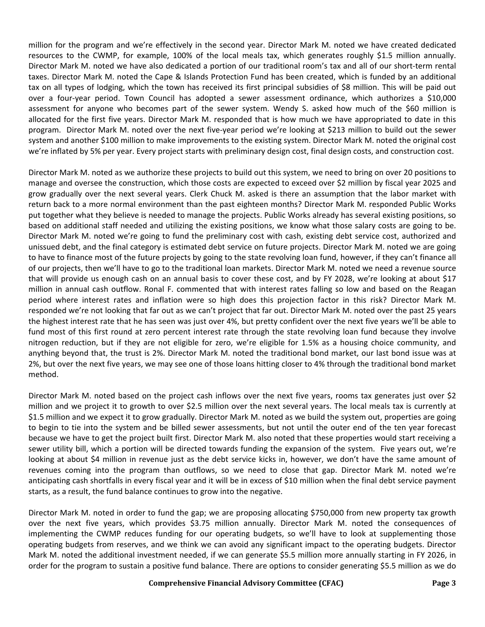million for the program and we're effectively in the second year. Director Mark M. noted we have created dedicated resources to the CWMP, for example, 100% of the local meals tax, which generates roughly \$1.5 million annually. Director Mark M. noted we have also dedicated a portion of our traditional room's tax and all of our short-term rental taxes. Director Mark M. noted the Cape & Islands Protection Fund has been created, which is funded by an additional tax on all types of lodging, which the town has received its first principal subsidies of \$8 million. This will be paid out over a four-year period. Town Council has adopted a sewer assessment ordinance, which authorizes a \$10,000 assessment for anyone who becomes part of the sewer system. Wendy S. asked how much of the \$60 million is allocated for the first five years. Director Mark M. responded that is how much we have appropriated to date in this program. Director Mark M. noted over the next five-year period we're looking at \$213 million to build out the sewer system and another \$100 million to make improvements to the existing system. Director Mark M. noted the original cost we're inflated by 5% per year. Every project starts with preliminary design cost, final design costs, and construction cost.

Director Mark M. noted as we authorize these projects to build out this system, we need to bring on over 20 positions to manage and oversee the construction, which those costs are expected to exceed over \$2 million by fiscal year 2025 and grow gradually over the next several years. Clerk Chuck M. asked is there an assumption that the labor market with return back to a more normal environment than the past eighteen months? Director Mark M. responded Public Works put together what they believe is needed to manage the projects. Public Works already has several existing positions, so based on additional staff needed and utilizing the existing positions, we know what those salary costs are going to be. Director Mark M. noted we're going to fund the preliminary cost with cash, existing debt service cost, authorized and unissued debt, and the final category is estimated debt service on future projects. Director Mark M. noted we are going to have to finance most of the future projects by going to the state revolving loan fund, however, if they can't finance all of our projects, then we'll have to go to the traditional loan markets. Director Mark M. noted we need a revenue source that will provide us enough cash on an annual basis to cover these cost, and by FY 2028, we're looking at about \$17 million in annual cash outflow. Ronal F. commented that with interest rates falling so low and based on the Reagan period where interest rates and inflation were so high does this projection factor in this risk? Director Mark M. responded we're not looking that far out as we can't project that far out. Director Mark M. noted over the past 25 years the highest interest rate that he has seen was just over 4%, but pretty confident over the next five years we'll be able to fund most of this first round at zero percent interest rate through the state revolving loan fund because they involve nitrogen reduction, but if they are not eligible for zero, we're eligible for 1.5% as a housing choice community, and anything beyond that, the trust is 2%. Director Mark M. noted the traditional bond market, our last bond issue was at 2%, but over the next five years, we may see one of those loans hitting closer to 4% through the traditional bond market method.

Director Mark M. noted based on the project cash inflows over the next five years, rooms tax generates just over \$2 million and we project it to growth to over \$2.5 million over the next several years. The local meals tax is currently at \$1.5 million and we expect it to grow gradually. Director Mark M. noted as we build the system out, properties are going to begin to tie into the system and be billed sewer assessments, but not until the outer end of the ten year forecast because we have to get the project built first. Director Mark M. also noted that these properties would start receiving a sewer utility bill, which a portion will be directed towards funding the expansion of the system. Five years out, we're looking at about \$4 million in revenue just as the debt service kicks in, however, we don't have the same amount of revenues coming into the program than outflows, so we need to close that gap. Director Mark M. noted we're anticipating cash shortfalls in every fiscal year and it will be in excess of \$10 million when the final debt service payment starts, as a result, the fund balance continues to grow into the negative.

Director Mark M. noted in order to fund the gap; we are proposing allocating \$750,000 from new property tax growth over the next five years, which provides \$3.75 million annually. Director Mark M. noted the consequences of implementing the CWMP reduces funding for our operating budgets, so we'll have to look at supplementing those operating budgets from reserves, and we think we can avoid any significant impact to the operating budgets. Director Mark M. noted the additional investment needed, if we can generate \$5.5 million more annually starting in FY 2026, in order for the program to sustain a positive fund balance. There are options to consider generating \$5.5 million as we do